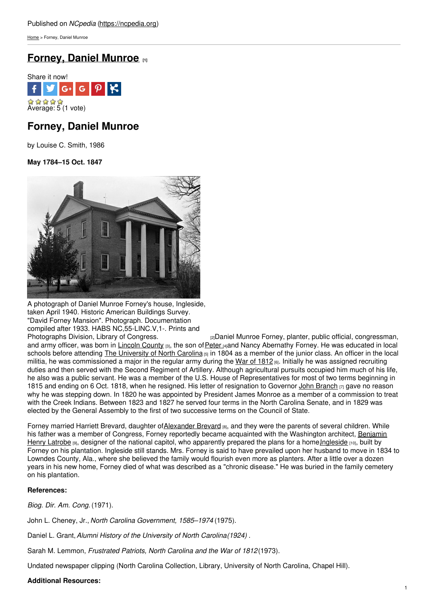[Home](https://ncpedia.org/) > Forney, Daniel Munroe

## **[Forney,](https://ncpedia.org/biography/forney-daniel-munroe) Daniel Munroe [1]**



# **Forney, Daniel Munroe**

by Louise C. Smith, 1986

**May 1784–15 Oct. 1847**



A photograph of Daniel Munroe Forney's house, Ingleside, taken April 1940. Historic American Buildings Survey. "David Forney Mansion". Photograph. Documentation compiled after 1933. HABS NC, 55-LINC.V, 1-. Prints and Photographs Division, Library of Congress.

 $p_1$ Daniel Munroe Forney, planter, public official, congressman, and army officer, was born in [Lincoln](https://ncpedia.org/geography/lincoln) County [3], the son of [Peter](https://ncpedia.org/biography/forney-peter) [4]and Nancy Abernathy Forney. He was educated in local schools before attending The [University](https://ncpedia.org/university-north-carolina-chapel-hi) of North Carolina  $_{[5]}$  in 1804 as a member of the junior class. An officer in the local militia, he was commissioned a major in the regular army during the War of [1812](https://ncpedia.org/war-1812)  $61$ . Initially he was assigned recruiting duties and then served with the Second Regiment of Artillery. Although agricultural pursuits occupied him much of his life, he also was a public servant. He was a member of the U.S. House of Representatives for most of two terms beginning in 1815 and ending on 6 Oct. 1818, when he resigned. His letter of resignation to Governor John [Branch](https://ncpedia.org/biography/branch-john) [7] gave no reason why he was stepping down. In 1820 he was appointed by President James Monroe as a member of a commission to treat with the Creek Indians. Between 1823 and 1827 he served four terms in the North Carolina Senate, and in 1829 was elected by the General Assembly to the first of two successive terms on the Council of State.

Forney married Harriett Brevard, daughter o[fAlexander](https://ncpedia.org/biography/brevard-alexander) Brevard [8], and they were the parents of several children. While his father was a member of Congress, Forney reportedly became acquainted with the Washington architect, Benjamin Henry Latrobe  $\mathfrak{g}_1$ , designer of the national capitol, who apparently prepared the plans for a home Ingleside  $\mathfrak{g}_1$ Forney on his plantation. Ingleside still stands. Mrs. Forney is said to have prevailed upon her husband to move in 1834 to Lowndes County, Ala., where she believed the family would flourish even more as planters. After a little over a dozen years in his new home, Forney died of what was described as a "chronic disease." He was buried in the family cemetery on his plantation.

### **References:**

*Biog. Dir. Am. Cong.* (1971).

John L. Cheney, Jr., *North Carolina Government, 1585–1974* (1975).

Daniel L. Grant,*Alumni History of the University of North Carolina(1924)* .

Sarah M. Lemmon, *Frustrated Patriots, North Carolina and the War of 1812*(1973).

Undated newspaper clipping (North Carolina Collection, Library, University of North Carolina, Chapel Hill).

### **Additional Resources:**